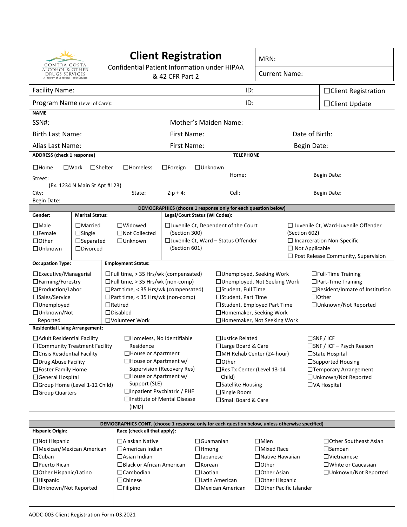| Confidential Patient Information under HIPAA<br><b>ALCOHOL &amp; OTHER</b><br><b>Current Name:</b><br>DRUGS SERVICES<br>& 42 CFR Part 2<br>A Program of Behavioral Health Services<br>ID:<br><b>Facility Name:</b><br>$\Box$ Client Registration<br>ID:<br>Program Name (Level of Care):<br>□ Client Update<br><b>NAME</b><br>SSN#:<br>Mother's Maiden Name:<br><b>Birth Last Name:</b><br>Date of Birth:<br><b>First Name:</b><br>Alias Last Name:<br>First Name:<br><b>Begin Date:</b><br><b>ADDRESS</b> (check 1 response)<br><b>TELEPHONE</b><br>$\square$ Home<br>$\square$ Work<br>$\Box$ Homeless<br>$\Box$ Unknown<br>$\square$ Shelter<br>$\Box$ Foreign<br>Home:<br>Begin Date:<br>Street:<br>(Ex. 1234 N Main St Apt #123)<br>$Zip + 4:$<br>Cell:<br>City:<br>State:<br>Begin Date:<br>Begin Date:<br>DEMOGRAPHICS (choose 1 response only for each question below)<br>Legal/Court Status (WI Codes):<br>Gender:<br><b>Marital Status:</b><br>$\square$ Male<br>$\Box$ Married<br>$\Box$ Widowed<br>$\Box$ Juvenile Ct, Dependent of the Court<br>$\Box$ Juvenile Ct, Ward-Juvenile Offender<br>$\Box$ Not Collected<br>(Section 300)<br>$\Box$ Female<br>$\Box$ Single<br>(Section 602)<br>□ Juvenile Ct, Ward - Status Offender<br>$\Box$ Incarceration Non-Specific<br>$\Box$ Other<br>$\Box$ Separated<br>□Unknown<br>(Section 601)<br>$\Box$ Not Applicable<br>$\square$ Divorced<br>□Unknown<br>$\Box$ Post Release Community, Supervision<br><b>Occupation Type:</b><br><b>Employment Status:</b><br>□Executive/Managerial<br>$\Box$ Full time, > 35 Hrs/wk (compensated)<br>□ Unemployed, Seeking Work<br>$\Box$ Full-Time Training<br>$\Box$ Farming/Forestry<br>$\Box$ Full time, > 35 Hrs/wk (non-comp)<br>□ Unemployed, Not Seeking Work<br>$\Box$ Part-Time Training<br>□ Part time, < 35 Hrs/wk (compensated)<br>□Production/Labor<br>□Student, Full Time<br>$\Box$ Resident/Inmate of Institution<br>$\Box$ Other<br>□Sales/Service<br>$\Box$ Part time, < 35 Hrs/wk (non-comp)<br>□Student, Part Time<br>□Unemployed<br>$\Box$ Retired<br>□Student, Employed Part Time<br>□ Unknown/Not Reported<br>□Unknown/Not<br>□Homemaker, Seeking Work<br>$\Box$ Disabled<br>Reported<br>□Volunteer Work<br>□Homemaker, Not Seeking Work<br><b>Residential Living Arrangement:</b><br>□Justice Related<br>$\square$ SNF / ICF<br>$\Box$ Adult Residential Facility<br>□Homeless, No Identifiable<br>□ Community Treatment Facility<br>Residence<br>□ Large Board & Care<br>□SNF / ICF - Psych Reason<br>$\Box$ Crisis Residential Facility<br>□House or Apartment<br>□MH Rehab Center (24-hour)<br>$\Box$ State Hospital<br>$\Box$ House or Apartment w/<br>$\Box$ Other<br>□ Drug Abuse Facility<br>□Supported Housing<br><b>Supervision (Recovery Res)</b><br>□Foster Family Home<br>□Res Tx Center (Level 13-14<br>□Temporary Arrangement<br>$\Box$ House or Apartment w/<br>□General Hospital<br>Child)<br>□Unknown/Not Reported<br>Support (SLE)<br>$\square$ Satellite Housing<br>□Group Home (Level 1-12 Child)<br>□VA Hospital<br>□Inpatient Psychiatric / PHF<br>□Single Room<br>□ Group Quarters<br>□Institute of Mental Disease<br>□Small Board & Care<br>(IMD) | <b>Client Registration</b><br>CONTRA COSTA |  |  |  |  |  | MRN: |  |  |
|---------------------------------------------------------------------------------------------------------------------------------------------------------------------------------------------------------------------------------------------------------------------------------------------------------------------------------------------------------------------------------------------------------------------------------------------------------------------------------------------------------------------------------------------------------------------------------------------------------------------------------------------------------------------------------------------------------------------------------------------------------------------------------------------------------------------------------------------------------------------------------------------------------------------------------------------------------------------------------------------------------------------------------------------------------------------------------------------------------------------------------------------------------------------------------------------------------------------------------------------------------------------------------------------------------------------------------------------------------------------------------------------------------------------------------------------------------------------------------------------------------------------------------------------------------------------------------------------------------------------------------------------------------------------------------------------------------------------------------------------------------------------------------------------------------------------------------------------------------------------------------------------------------------------------------------------------------------------------------------------------------------------------------------------------------------------------------------------------------------------------------------------------------------------------------------------------------------------------------------------------------------------------------------------------------------------------------------------------------------------------------------------------------------------------------------------------------------------------------------------------------------------------------------------------------------------------------------------------------------------------------------------------------------------------------------------------------------------------------------------------------------------------------------------------------------------------------------------------------------------------------------------------------------------------------------------------------------------------------------------------------------------------------------------------------------------------------------------------------------------------------------------------------------------------------------------|--------------------------------------------|--|--|--|--|--|------|--|--|
|                                                                                                                                                                                                                                                                                                                                                                                                                                                                                                                                                                                                                                                                                                                                                                                                                                                                                                                                                                                                                                                                                                                                                                                                                                                                                                                                                                                                                                                                                                                                                                                                                                                                                                                                                                                                                                                                                                                                                                                                                                                                                                                                                                                                                                                                                                                                                                                                                                                                                                                                                                                                                                                                                                                                                                                                                                                                                                                                                                                                                                                                                                                                                                                             |                                            |  |  |  |  |  |      |  |  |
|                                                                                                                                                                                                                                                                                                                                                                                                                                                                                                                                                                                                                                                                                                                                                                                                                                                                                                                                                                                                                                                                                                                                                                                                                                                                                                                                                                                                                                                                                                                                                                                                                                                                                                                                                                                                                                                                                                                                                                                                                                                                                                                                                                                                                                                                                                                                                                                                                                                                                                                                                                                                                                                                                                                                                                                                                                                                                                                                                                                                                                                                                                                                                                                             |                                            |  |  |  |  |  |      |  |  |
|                                                                                                                                                                                                                                                                                                                                                                                                                                                                                                                                                                                                                                                                                                                                                                                                                                                                                                                                                                                                                                                                                                                                                                                                                                                                                                                                                                                                                                                                                                                                                                                                                                                                                                                                                                                                                                                                                                                                                                                                                                                                                                                                                                                                                                                                                                                                                                                                                                                                                                                                                                                                                                                                                                                                                                                                                                                                                                                                                                                                                                                                                                                                                                                             |                                            |  |  |  |  |  |      |  |  |
|                                                                                                                                                                                                                                                                                                                                                                                                                                                                                                                                                                                                                                                                                                                                                                                                                                                                                                                                                                                                                                                                                                                                                                                                                                                                                                                                                                                                                                                                                                                                                                                                                                                                                                                                                                                                                                                                                                                                                                                                                                                                                                                                                                                                                                                                                                                                                                                                                                                                                                                                                                                                                                                                                                                                                                                                                                                                                                                                                                                                                                                                                                                                                                                             |                                            |  |  |  |  |  |      |  |  |
|                                                                                                                                                                                                                                                                                                                                                                                                                                                                                                                                                                                                                                                                                                                                                                                                                                                                                                                                                                                                                                                                                                                                                                                                                                                                                                                                                                                                                                                                                                                                                                                                                                                                                                                                                                                                                                                                                                                                                                                                                                                                                                                                                                                                                                                                                                                                                                                                                                                                                                                                                                                                                                                                                                                                                                                                                                                                                                                                                                                                                                                                                                                                                                                             |                                            |  |  |  |  |  |      |  |  |
|                                                                                                                                                                                                                                                                                                                                                                                                                                                                                                                                                                                                                                                                                                                                                                                                                                                                                                                                                                                                                                                                                                                                                                                                                                                                                                                                                                                                                                                                                                                                                                                                                                                                                                                                                                                                                                                                                                                                                                                                                                                                                                                                                                                                                                                                                                                                                                                                                                                                                                                                                                                                                                                                                                                                                                                                                                                                                                                                                                                                                                                                                                                                                                                             |                                            |  |  |  |  |  |      |  |  |
|                                                                                                                                                                                                                                                                                                                                                                                                                                                                                                                                                                                                                                                                                                                                                                                                                                                                                                                                                                                                                                                                                                                                                                                                                                                                                                                                                                                                                                                                                                                                                                                                                                                                                                                                                                                                                                                                                                                                                                                                                                                                                                                                                                                                                                                                                                                                                                                                                                                                                                                                                                                                                                                                                                                                                                                                                                                                                                                                                                                                                                                                                                                                                                                             |                                            |  |  |  |  |  |      |  |  |
|                                                                                                                                                                                                                                                                                                                                                                                                                                                                                                                                                                                                                                                                                                                                                                                                                                                                                                                                                                                                                                                                                                                                                                                                                                                                                                                                                                                                                                                                                                                                                                                                                                                                                                                                                                                                                                                                                                                                                                                                                                                                                                                                                                                                                                                                                                                                                                                                                                                                                                                                                                                                                                                                                                                                                                                                                                                                                                                                                                                                                                                                                                                                                                                             |                                            |  |  |  |  |  |      |  |  |
|                                                                                                                                                                                                                                                                                                                                                                                                                                                                                                                                                                                                                                                                                                                                                                                                                                                                                                                                                                                                                                                                                                                                                                                                                                                                                                                                                                                                                                                                                                                                                                                                                                                                                                                                                                                                                                                                                                                                                                                                                                                                                                                                                                                                                                                                                                                                                                                                                                                                                                                                                                                                                                                                                                                                                                                                                                                                                                                                                                                                                                                                                                                                                                                             |                                            |  |  |  |  |  |      |  |  |
|                                                                                                                                                                                                                                                                                                                                                                                                                                                                                                                                                                                                                                                                                                                                                                                                                                                                                                                                                                                                                                                                                                                                                                                                                                                                                                                                                                                                                                                                                                                                                                                                                                                                                                                                                                                                                                                                                                                                                                                                                                                                                                                                                                                                                                                                                                                                                                                                                                                                                                                                                                                                                                                                                                                                                                                                                                                                                                                                                                                                                                                                                                                                                                                             |                                            |  |  |  |  |  |      |  |  |
|                                                                                                                                                                                                                                                                                                                                                                                                                                                                                                                                                                                                                                                                                                                                                                                                                                                                                                                                                                                                                                                                                                                                                                                                                                                                                                                                                                                                                                                                                                                                                                                                                                                                                                                                                                                                                                                                                                                                                                                                                                                                                                                                                                                                                                                                                                                                                                                                                                                                                                                                                                                                                                                                                                                                                                                                                                                                                                                                                                                                                                                                                                                                                                                             |                                            |  |  |  |  |  |      |  |  |
|                                                                                                                                                                                                                                                                                                                                                                                                                                                                                                                                                                                                                                                                                                                                                                                                                                                                                                                                                                                                                                                                                                                                                                                                                                                                                                                                                                                                                                                                                                                                                                                                                                                                                                                                                                                                                                                                                                                                                                                                                                                                                                                                                                                                                                                                                                                                                                                                                                                                                                                                                                                                                                                                                                                                                                                                                                                                                                                                                                                                                                                                                                                                                                                             |                                            |  |  |  |  |  |      |  |  |
|                                                                                                                                                                                                                                                                                                                                                                                                                                                                                                                                                                                                                                                                                                                                                                                                                                                                                                                                                                                                                                                                                                                                                                                                                                                                                                                                                                                                                                                                                                                                                                                                                                                                                                                                                                                                                                                                                                                                                                                                                                                                                                                                                                                                                                                                                                                                                                                                                                                                                                                                                                                                                                                                                                                                                                                                                                                                                                                                                                                                                                                                                                                                                                                             |                                            |  |  |  |  |  |      |  |  |
|                                                                                                                                                                                                                                                                                                                                                                                                                                                                                                                                                                                                                                                                                                                                                                                                                                                                                                                                                                                                                                                                                                                                                                                                                                                                                                                                                                                                                                                                                                                                                                                                                                                                                                                                                                                                                                                                                                                                                                                                                                                                                                                                                                                                                                                                                                                                                                                                                                                                                                                                                                                                                                                                                                                                                                                                                                                                                                                                                                                                                                                                                                                                                                                             |                                            |  |  |  |  |  |      |  |  |
|                                                                                                                                                                                                                                                                                                                                                                                                                                                                                                                                                                                                                                                                                                                                                                                                                                                                                                                                                                                                                                                                                                                                                                                                                                                                                                                                                                                                                                                                                                                                                                                                                                                                                                                                                                                                                                                                                                                                                                                                                                                                                                                                                                                                                                                                                                                                                                                                                                                                                                                                                                                                                                                                                                                                                                                                                                                                                                                                                                                                                                                                                                                                                                                             |                                            |  |  |  |  |  |      |  |  |
|                                                                                                                                                                                                                                                                                                                                                                                                                                                                                                                                                                                                                                                                                                                                                                                                                                                                                                                                                                                                                                                                                                                                                                                                                                                                                                                                                                                                                                                                                                                                                                                                                                                                                                                                                                                                                                                                                                                                                                                                                                                                                                                                                                                                                                                                                                                                                                                                                                                                                                                                                                                                                                                                                                                                                                                                                                                                                                                                                                                                                                                                                                                                                                                             |                                            |  |  |  |  |  |      |  |  |
|                                                                                                                                                                                                                                                                                                                                                                                                                                                                                                                                                                                                                                                                                                                                                                                                                                                                                                                                                                                                                                                                                                                                                                                                                                                                                                                                                                                                                                                                                                                                                                                                                                                                                                                                                                                                                                                                                                                                                                                                                                                                                                                                                                                                                                                                                                                                                                                                                                                                                                                                                                                                                                                                                                                                                                                                                                                                                                                                                                                                                                                                                                                                                                                             |                                            |  |  |  |  |  |      |  |  |
|                                                                                                                                                                                                                                                                                                                                                                                                                                                                                                                                                                                                                                                                                                                                                                                                                                                                                                                                                                                                                                                                                                                                                                                                                                                                                                                                                                                                                                                                                                                                                                                                                                                                                                                                                                                                                                                                                                                                                                                                                                                                                                                                                                                                                                                                                                                                                                                                                                                                                                                                                                                                                                                                                                                                                                                                                                                                                                                                                                                                                                                                                                                                                                                             |                                            |  |  |  |  |  |      |  |  |
|                                                                                                                                                                                                                                                                                                                                                                                                                                                                                                                                                                                                                                                                                                                                                                                                                                                                                                                                                                                                                                                                                                                                                                                                                                                                                                                                                                                                                                                                                                                                                                                                                                                                                                                                                                                                                                                                                                                                                                                                                                                                                                                                                                                                                                                                                                                                                                                                                                                                                                                                                                                                                                                                                                                                                                                                                                                                                                                                                                                                                                                                                                                                                                                             |                                            |  |  |  |  |  |      |  |  |
|                                                                                                                                                                                                                                                                                                                                                                                                                                                                                                                                                                                                                                                                                                                                                                                                                                                                                                                                                                                                                                                                                                                                                                                                                                                                                                                                                                                                                                                                                                                                                                                                                                                                                                                                                                                                                                                                                                                                                                                                                                                                                                                                                                                                                                                                                                                                                                                                                                                                                                                                                                                                                                                                                                                                                                                                                                                                                                                                                                                                                                                                                                                                                                                             |                                            |  |  |  |  |  |      |  |  |
|                                                                                                                                                                                                                                                                                                                                                                                                                                                                                                                                                                                                                                                                                                                                                                                                                                                                                                                                                                                                                                                                                                                                                                                                                                                                                                                                                                                                                                                                                                                                                                                                                                                                                                                                                                                                                                                                                                                                                                                                                                                                                                                                                                                                                                                                                                                                                                                                                                                                                                                                                                                                                                                                                                                                                                                                                                                                                                                                                                                                                                                                                                                                                                                             |                                            |  |  |  |  |  |      |  |  |
|                                                                                                                                                                                                                                                                                                                                                                                                                                                                                                                                                                                                                                                                                                                                                                                                                                                                                                                                                                                                                                                                                                                                                                                                                                                                                                                                                                                                                                                                                                                                                                                                                                                                                                                                                                                                                                                                                                                                                                                                                                                                                                                                                                                                                                                                                                                                                                                                                                                                                                                                                                                                                                                                                                                                                                                                                                                                                                                                                                                                                                                                                                                                                                                             |                                            |  |  |  |  |  |      |  |  |
|                                                                                                                                                                                                                                                                                                                                                                                                                                                                                                                                                                                                                                                                                                                                                                                                                                                                                                                                                                                                                                                                                                                                                                                                                                                                                                                                                                                                                                                                                                                                                                                                                                                                                                                                                                                                                                                                                                                                                                                                                                                                                                                                                                                                                                                                                                                                                                                                                                                                                                                                                                                                                                                                                                                                                                                                                                                                                                                                                                                                                                                                                                                                                                                             |                                            |  |  |  |  |  |      |  |  |
|                                                                                                                                                                                                                                                                                                                                                                                                                                                                                                                                                                                                                                                                                                                                                                                                                                                                                                                                                                                                                                                                                                                                                                                                                                                                                                                                                                                                                                                                                                                                                                                                                                                                                                                                                                                                                                                                                                                                                                                                                                                                                                                                                                                                                                                                                                                                                                                                                                                                                                                                                                                                                                                                                                                                                                                                                                                                                                                                                                                                                                                                                                                                                                                             |                                            |  |  |  |  |  |      |  |  |
|                                                                                                                                                                                                                                                                                                                                                                                                                                                                                                                                                                                                                                                                                                                                                                                                                                                                                                                                                                                                                                                                                                                                                                                                                                                                                                                                                                                                                                                                                                                                                                                                                                                                                                                                                                                                                                                                                                                                                                                                                                                                                                                                                                                                                                                                                                                                                                                                                                                                                                                                                                                                                                                                                                                                                                                                                                                                                                                                                                                                                                                                                                                                                                                             |                                            |  |  |  |  |  |      |  |  |
|                                                                                                                                                                                                                                                                                                                                                                                                                                                                                                                                                                                                                                                                                                                                                                                                                                                                                                                                                                                                                                                                                                                                                                                                                                                                                                                                                                                                                                                                                                                                                                                                                                                                                                                                                                                                                                                                                                                                                                                                                                                                                                                                                                                                                                                                                                                                                                                                                                                                                                                                                                                                                                                                                                                                                                                                                                                                                                                                                                                                                                                                                                                                                                                             |                                            |  |  |  |  |  |      |  |  |
|                                                                                                                                                                                                                                                                                                                                                                                                                                                                                                                                                                                                                                                                                                                                                                                                                                                                                                                                                                                                                                                                                                                                                                                                                                                                                                                                                                                                                                                                                                                                                                                                                                                                                                                                                                                                                                                                                                                                                                                                                                                                                                                                                                                                                                                                                                                                                                                                                                                                                                                                                                                                                                                                                                                                                                                                                                                                                                                                                                                                                                                                                                                                                                                             |                                            |  |  |  |  |  |      |  |  |
|                                                                                                                                                                                                                                                                                                                                                                                                                                                                                                                                                                                                                                                                                                                                                                                                                                                                                                                                                                                                                                                                                                                                                                                                                                                                                                                                                                                                                                                                                                                                                                                                                                                                                                                                                                                                                                                                                                                                                                                                                                                                                                                                                                                                                                                                                                                                                                                                                                                                                                                                                                                                                                                                                                                                                                                                                                                                                                                                                                                                                                                                                                                                                                                             |                                            |  |  |  |  |  |      |  |  |
|                                                                                                                                                                                                                                                                                                                                                                                                                                                                                                                                                                                                                                                                                                                                                                                                                                                                                                                                                                                                                                                                                                                                                                                                                                                                                                                                                                                                                                                                                                                                                                                                                                                                                                                                                                                                                                                                                                                                                                                                                                                                                                                                                                                                                                                                                                                                                                                                                                                                                                                                                                                                                                                                                                                                                                                                                                                                                                                                                                                                                                                                                                                                                                                             |                                            |  |  |  |  |  |      |  |  |
|                                                                                                                                                                                                                                                                                                                                                                                                                                                                                                                                                                                                                                                                                                                                                                                                                                                                                                                                                                                                                                                                                                                                                                                                                                                                                                                                                                                                                                                                                                                                                                                                                                                                                                                                                                                                                                                                                                                                                                                                                                                                                                                                                                                                                                                                                                                                                                                                                                                                                                                                                                                                                                                                                                                                                                                                                                                                                                                                                                                                                                                                                                                                                                                             |                                            |  |  |  |  |  |      |  |  |
|                                                                                                                                                                                                                                                                                                                                                                                                                                                                                                                                                                                                                                                                                                                                                                                                                                                                                                                                                                                                                                                                                                                                                                                                                                                                                                                                                                                                                                                                                                                                                                                                                                                                                                                                                                                                                                                                                                                                                                                                                                                                                                                                                                                                                                                                                                                                                                                                                                                                                                                                                                                                                                                                                                                                                                                                                                                                                                                                                                                                                                                                                                                                                                                             |                                            |  |  |  |  |  |      |  |  |
|                                                                                                                                                                                                                                                                                                                                                                                                                                                                                                                                                                                                                                                                                                                                                                                                                                                                                                                                                                                                                                                                                                                                                                                                                                                                                                                                                                                                                                                                                                                                                                                                                                                                                                                                                                                                                                                                                                                                                                                                                                                                                                                                                                                                                                                                                                                                                                                                                                                                                                                                                                                                                                                                                                                                                                                                                                                                                                                                                                                                                                                                                                                                                                                             |                                            |  |  |  |  |  |      |  |  |
|                                                                                                                                                                                                                                                                                                                                                                                                                                                                                                                                                                                                                                                                                                                                                                                                                                                                                                                                                                                                                                                                                                                                                                                                                                                                                                                                                                                                                                                                                                                                                                                                                                                                                                                                                                                                                                                                                                                                                                                                                                                                                                                                                                                                                                                                                                                                                                                                                                                                                                                                                                                                                                                                                                                                                                                                                                                                                                                                                                                                                                                                                                                                                                                             |                                            |  |  |  |  |  |      |  |  |
|                                                                                                                                                                                                                                                                                                                                                                                                                                                                                                                                                                                                                                                                                                                                                                                                                                                                                                                                                                                                                                                                                                                                                                                                                                                                                                                                                                                                                                                                                                                                                                                                                                                                                                                                                                                                                                                                                                                                                                                                                                                                                                                                                                                                                                                                                                                                                                                                                                                                                                                                                                                                                                                                                                                                                                                                                                                                                                                                                                                                                                                                                                                                                                                             |                                            |  |  |  |  |  |      |  |  |

| DEMOGRAPHICS CONT. (choose 1 response only for each question below, unless otherwise specified) |                                  |                         |                          |                             |  |
|-------------------------------------------------------------------------------------------------|----------------------------------|-------------------------|--------------------------|-----------------------------|--|
| <b>Hispanic Origin:</b>                                                                         | Race (check all that apply):     |                         |                          |                             |  |
| $\Box$ Not Hispanic                                                                             | $\Box$ Alaskan Native            | $\Box$ Guamanian        | $\square$ Mien           | □ Other Southeast Asian     |  |
| $\Box$ Mexican/Mexican American                                                                 | $\Box$ American Indian           | $\Box$ Hmong            | $\square$ Mixed Race     | $\square$ Samoan            |  |
| $\Box$ Cuban                                                                                    | $\Box$ Asian Indian              | $\square$ Japanese      | $\Box$ Native Hawaiian   | $\Box$ Vietnamese           |  |
| $\Box$ Puerto Rican                                                                             | $\Box$ Black or African American | $\Box$ Korean           | $\Box$ Other             | $\Box$ White or Caucasian   |  |
| $\Box$ Other Hispanic/Latino                                                                    | $\Box$ Cambodian                 | $\Box$ Laotian          | $\Box$ Other Asian       | $\Box$ Unknown/Not Reported |  |
| $\Box$ Hispanic                                                                                 | $\Box$ Chinese                   | $\Box$ Latin American   | $\Box$ Other Hispanic    |                             |  |
| □ Unknown/Not Reported                                                                          | $\Box$ Filipino                  | $\Box$ Mexican American | □ Other Pacific Islander |                             |  |
|                                                                                                 |                                  |                         |                          |                             |  |
|                                                                                                 |                                  |                         |                          |                             |  |